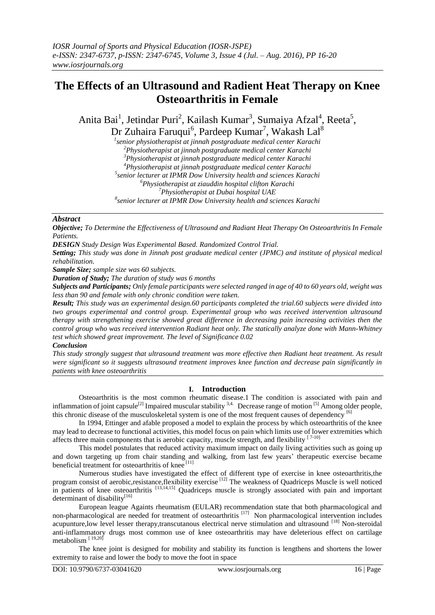# **The Effects of an Ultrasound and Radient Heat Therapy on Knee Osteoarthritis in Female**

Anita Bai<sup>1</sup>, Jetindar Puri<sup>2</sup>, Kailash Kumar<sup>3</sup>, Sumaiya Afzal<sup>4</sup>, Reeta<sup>5</sup>, Dr Zuhaira Faruqui<sup>6</sup>, Pardeep Kumar<sup>7</sup>, Wakash Lal<sup>8</sup>

 *senior physiotherapist at jinnah postgraduate medical center Karachi Physiotherapist at jinnah postgraduate medical center Karachi Physiotherapist at jinnah postgraduate medical center Karachi Physiotherapist at jinnah postgraduate medical center Karachi senior lecturer at IPMR Dow University health and sciences Karachi Physiotherapist at ziauddin hospital clifton Karachi Physiotherapist at Dubai hospital UAE senior lecturer at IPMR Dow University health and sciences Karachi*

## *Abstract*

*Objective; To Determine the Effectiveness of Ultrasound and Radiant Heat Therapy On Osteoarthritis In Female Patients.*

*DESIGN Study Design Was Experimental Based. Randomized Control Trial.*

*Setting; This study was done in Jinnah post graduate medical center (JPMC) and institute of physical medical rehabilitation.*

*Sample Size; sample size was 60 subjects.*

*Duration of Study; The duration of study was 6 months*

*Subjects and Participants; Only female participants were selected ranged in age of 40 to 60 years old, weight was less than 90 and female with only chronic condition were taken.*

*Result; This study was an experimental design.60 participants completed the trial.60 subjects were divided into two groups experimental and control group. Experimental group who was received intervention ultrasound therapy with strengthening exercise showed great difference in decreasing pain increasing activities then the control group who was received intervention Radiant heat only. The statically analyze done with Mann-Whitney test which showed great improvement. The level of Significance 0.02*

### *Conclusion*

*This study strongly suggest that ultrasound treatment was more effective then Radiant heat treatment. As result were significant so it suggests ultrasound treatment improves knee function and decrease pain significantly in patients with knee osteoarthritis*

# **I. Introduction**

Osteoarthritis is the most common rheumatic disease.1 The condition is associated with pain and inflammation of joint capsule<sup>[2]</sup> Impaired muscular stability  $3.4$ . Decrease range of motion <sup>[5]</sup> Among older people, this chronic disease of the musculoskeletal system is one of the most frequent causes of dependency [6]

In 1994, Ettinger and afable proposed a model to explain the process by which osteoarthritis of the knee may lead to decrease to functional activities, this model focus on pain which limits use of lower extremities which affects three main components that is aerobic capacity, muscle strength, and flexibility  $[7-10]$ 

This model postulates that reduced activity maximum impact on daily living activities such as going up and down targeting up from chair standing and walking, from last few years' therapeutic exercise became beneficial treatment for osteoarthritis of knee<sup>[11]</sup>

Numerous studies have investigated the effect of different type of exercise in knee osteoarthritis,the program consist of aerobic,resistance,flexibility exercise<sup>[12]</sup> The weakness of Quadriceps Muscle is well noticed in patients of knee osteoarthritis [13,14,15] Quadriceps muscle is strongly associated with pain and important determinant of disability $[16]$ 

European league Againts rheumatism (EULAR) recommendation state that both pharmacological and non-pharmacological are needed for treatment of osteoarthritis<sup>[17]</sup> Non pharmacological intervention includes acupunture,low level lesser therapy,transcutanous electrical nerve stimulation and ultrasound [18] Non-steroidal anti-inflammatory drugs most common use of knee osteoarthritis may have deleterious effect on cartilage metabolism [ 19,20]

The knee joint is designed for mobility and stability its function is lengthens and shortens the lower extremity to raise and lower the body to move the foot in space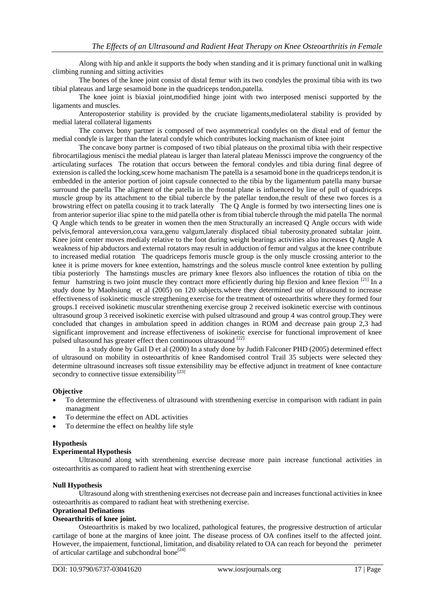Along with hip and ankle it supports the body when standing and it is primary functional unit in walking climbing running and sitting activities

The bones of the knee joint consist of distal femur with its two condyles the proximal tibia with its two tibial plateaus and large sesamoid bone in the quadriceps tendon,patella.

The knee joint is biaxial joint,modified hinge joint with two interposed menisci supported by the ligaments and muscles.

Anteroposterior stability is provided by the cruciate ligaments,mediolateral stability is provided by medial lateral collateral ligaments

The convex bony partner is composed of two asymmetrical condyles on the distal end of femur the medial condyle is larger than the lateral condyle which contributes locking machanism of knee joint

The concave bony partner is composed of two tibial plateaus on the proximal tibia with their respective fibrocartilagious menisci the medial plateau is larger than lateral plateau Menissci improve the congruency of the articulating surfaces The rotation that occurs between the femoral condyles and tibia during final degree of extension is called the locking,scew home machanism The patella is a sesamoid bone in the quadriceps tendon,it is embedded in the anterior portion of joint capsule connected to the tibia by the ligamentum patella many bursae surround the patella The aligment of the patella in the frontal plane is influenced by line of pull of quadriceps muscle group by its attachment to the tibial tubercle by the patellar tendon,the result of these two forces is a browstring effect on patella cousing it to track laterally The Q Angle is formed by two intersecting lines one is from anterior superior iliac spine to the mid patella other is from tibial tubercle through the mid patella The normal Q Angle which tends to be greater in women then the men Structurally an increased Q Angle occurs with wide pelvis,femoral anteversion,coxa vara,genu valgum,lateraly displaced tibial tuberosity,pronated subtalar joint. Knee joint center moves medialy relative to the foot during weight bearings activities also increases Q Angle A weakness of hip abductors and external rotators may result in adduction of femur and valgus at the knee contribute to increased medial rotation The quadriceps femoris muscle group is the only muscle crossing anterior to the knee it is prime movers for knee extention, hamstrings and the soleus muscle control knee extention by pulling tibia posteriorly The hamstings muscles are primary knee flexors also influences the rotation of tibia on the femur hamstring is two joint muscle they contract more efficiently during hip flexion and knee flexion  $[21]$  In a study done by Maohsiung et al (2005) on 120 subjects.where they determined use of ultrasound to increase effectiveness of isokinetic muscle stregthening exercise for the treatment of osteoarthritis where they formed four groups.1 received isokinetic muscular strenthening exercise group 2 received isokinetic exercise with continous ultrasound group 3 received isokinetic exercise with pulsed ultrasound and group 4 was control group.They were concluded that changes in ambulation speed in addition changes in ROM and decrease pain group 2,3 had significant improvement and increase effectiveness of isokinetic exercise for functional improvement of knee pulsed ultasound has greater effect then continuous ultrasound [22]

In a study done by Gail D et al (2000) In a study done by Judith Falconer PHD (2005) determined effect of ultrasound on mobility in osteoarthritis of knee Randomised control Trail 35 subjects were selected they determine ultrasound increases soft tissue extensibility may be effective adjunct in treatment of knee contacture secondry to connective tissue extensibility<sup>[23]</sup>

### **Objective**

- To determine the effectiveness of ultrasound with strenthening exercise in comparison with radiant in pain managment
- To determine the effect on ADL activities
- To determine the effect on healthy life style

### **Hypothesis**

### **Experimental Hypothesis**

Ultrasound along with strenthening exercise decrease more pain increase functional activities in osteoarthritis as compared to radient heat with strenthening exercise

### **Null Hypothesis**

Ultrasound along with strenthening exercises not decrease pain and increases functional activities in knee osteoarthritis as compared to radiant heat with strethening exercise.

# **Oprational Definations**

### **Oseoarthritis of knee joint.**

Osteoarthritis is maked by two localized, pathological features, the progressive destruction of articular cartilage of bone at the margins of knee joint. The disease process of OA confines itself to the affected joint. However, the impaiement, functional, limitation, and disability related to OA can reach for beyond the perimeter of articular cartilage and subchondral bone<sup>[24]</sup>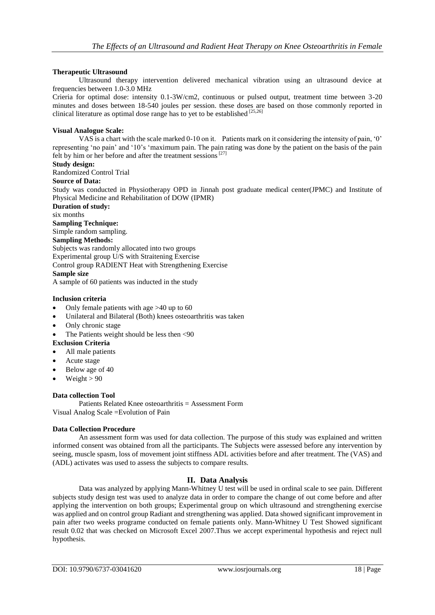## **Therapeutic Ultrasound**

Ultrasound therapy intervention delivered mechanical vibration using an ultrasound device at frequencies between 1.0-3.0 MHz

Crieria for optimal dose: intensity 0.1-3W/cm2, continuous or pulsed output, treatment time between 3-20 minutes and doses between 18-540 joules per session. these doses are based on those commonly reported in clinical literature as optimal dose range has to yet to be established  $^{[25,26]}$ 

### **Visual Analogue Scale:**

VAS is a chart with the scale marked 0-10 on it. Patients mark on it considering the intensity of pain, '0' representing 'no pain' and '10's 'maximum pain. The pain rating was done by the patient on the basis of the pain felt by him or her before and after the treatment sessions<sup>[27]</sup>

## **Study design:**

Randomized Control Trial

### **Source of Data:**

Study was conducted in Physiotherapy OPD in Jinnah post graduate medical center(JPMC) and Institute of Physical Medicine and Rehabilitation of DOW (IPMR)

**Duration of study:** six months **Sampling Technique:** Simple random sampling. **Sampling Methods:** Subjects was randomly allocated into two groups Experimental group U/S with Straitening Exercise Control group RADIENT Heat with Strengthening Exercise

# **Sample size**

A sample of 60 patients was inducted in the study

### **Inclusion criteria**

- Only female patients with age >40 up to 60
- Unilateral and Bilateral (Both) knees osteoarthritis was taken
- Only chronic stage
- The Patients weight should be less then <90

### **Exclusion Criteria**

- All male patients
- Acute stage
- Below age of 40
- Weight  $> 90$

### **Data collection Tool**

Patients Related Knee osteoarthritis = Assessment Form Visual Analog Scale =Evolution of Pain

### **Data Collection Procedure**

An assessment form was used for data collection. The purpose of this study was explained and written informed consent was obtained from all the participants. The Subjects were assessed before any intervention by seeing, muscle spasm, loss of movement joint stiffness ADL activities before and after treatment. The (VAS) and (ADL) activates was used to assess the subjects to compare results.

### **II. Data Analysis**

Data was analyzed by applying Mann-Whitney U test will be used in ordinal scale to see pain. Different subjects study design test was used to analyze data in order to compare the change of out come before and after applying the intervention on both groups; Experimental group on which ultrasound and strengthening exercise was applied and on control group Radiant and strengthening was applied. Data showed significant improvement in pain after two weeks programe conducted on female patients only. Mann-Whitney U Test Showed significant result 0.02 that was checked on Microsoft Excel 2007.Thus we accept experimental hypothesis and reject null hypothesis.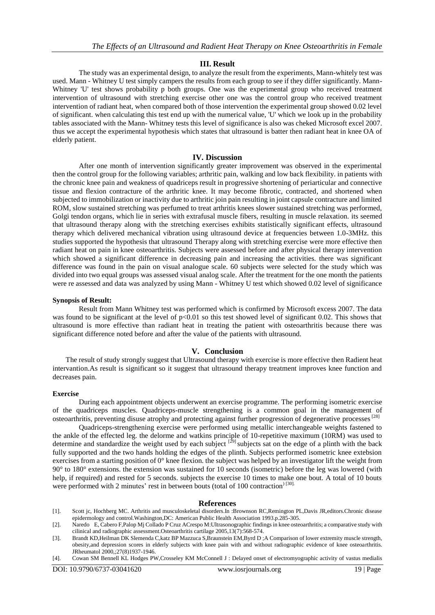### **III. Result**

The study was an experimental design, to analyze the result from the experiments, Mann-whitely test was used. Mann - Whitney U test simply campers the results from each group to see if they differ significantly. Mann-Whitney 'U' test shows probability p both groups. One was the experimental group who received treatment intervention of ultrasound with stretching exercise other one was the control group who received treatment intervention of radiant heat, when compared both of those intervention the experimental group showed 0.02 level of significant. when calculating this test end up with the numerical value, 'U' which we look up in the probability tables associated with the Mann- Whitney tests this level of significance is also was cheked Microsoft excel 2007. thus we accept the experimental hypothesis which states that ultrasound is batter then radiant heat in knee OA of elderly patient.

### **IV. Discussion**

After one month of intervention significantly greater improvement was observed in the experimental then the control group for the following variables; arthritic pain, walking and low back flexibility. in patients with the chronic knee pain and weakness of quadriceps result in progressive shortening of periarticular and connective tissue and flexion contracture of the arthritic knee. It may become fibrotic, contracted, and shortened when subjected to immobilization or inactivity due to arthritic join pain resulting in joint capsule contracture and limited ROM, slow sustained stretching was perfumed to treat arthritis knees slower sustained stretching was performed, Golgi tendon organs, which lie in series with extrafusal muscle fibers, resulting in muscle relaxation. its seemed that ultrasound therapy along with the stretching exercises exhibits statistically significant effects, ultrasound therapy which delivered mechanical vibration using ultrasound device at frequencies between 1.0-3MHz. this studies supported the hypothesis that ultrasound Therapy along with stretching exercise were more effective then radiant heat on pain in knee osteoarthritis. Subjects were assessed before and after physical therapy intervention which showed a significant difference in decreasing pain and increasing the activities. there was significant difference was found in the pain on visual analogue scale. 60 subjects were selected for the study which was divided into two equal groups was assessed visual analog scale. After the treatment for the one month the patients were re assessed and data was analyzed by using Mann - Whitney U test which showed 0.02 level of significance

### **Synopsis of Result:**

Result from Mann Whitney test was performed which is confirmed by Microsoft excess 2007. The data was found to be significant at the level of  $p<0.01$  so this test showed level of significant 0.02. This shows that ultrasound is more effective than radiant heat in treating the patient with osteoarthritis because there was significant difference noted before and after the value of the patients with ultrasound.

### **V. Conclusion**

The result of study strongly suggest that Ultrasound therapy with exercise is more effective then Radient heat intervantion.As result is significant so it suggest that ultrasound therapy treatment improves knee function and decreases pain.

### **Exercise**

During each appointment objects underwent an exercise programme. The performing isometric exercise of the quadriceps muscles. Quadriceps-muscle strengthening is a common goal in the management of osteoarthritis, preventing disuse atrophy and protecting against further progression of degenerative processes<sup>[28]</sup>

Quadriceps-strengthening exercise were performed using metallic interchangeable weights fastened to the ankle of the effected leg. the delorme and watkins principle of 10-repetitive maximum (10RM) was used to determine and standardize the weight used by each subject  $[29]$  subjects sat on the edge of a plinth with the back fully supported and the two hands holding the edges of the plinth. Subjects performed isometric knee extebsion exercises from a starting position of  $0^{\circ}$  knee flexion. the subject was helped by an investigator lift the weight from 90° to 180° extensions. the extension was sustained for 10 seconds (isometric) before the leg was lowered (with help, if required) and rested for 5 seconds. subjects the exercise 10 times to make one bout. A total of 10 bouts were performed with 2 minutes' rest in between bouts (total of 100 contraction)<sup>[30].</sup>

#### **References**

[1]. Scott jc, Hochberg MC. Arthritis and musculoskeletal disorders.In :Brownson RC,Remington PL,Davis JR,editors.Chronic disease epidermology and control.Washington,DC: American Public Health Association 1993.p.285-305.

- [3]. Brandt KD,Heilman DK Slemenda C,katz BP Mazzuca S,Braunstein EM,Byrd D ;A Comparison of lower extremity muscle strength, obesity,and depression scores in elderly subjects with knee pain with and without radiographic evidence of knee osteoarthritis. JRheumatol 2000,;27(8)1937-1946.
- [4]. Cowan SM Bennell KL Hodges PW,Crosseley KM McConnell J : Delayed onset of electromyographic activity of vastus medialis

<sup>[2].</sup> Naredo E, Cabero F,Palop Mj Collado P Cruz ACrespo M:Ultrasonographic findings in knee osteoarthritis; a comparative study with cilinical and radiographic assessment.Osteoarthritis cartilage 2005,13(7):568-574.